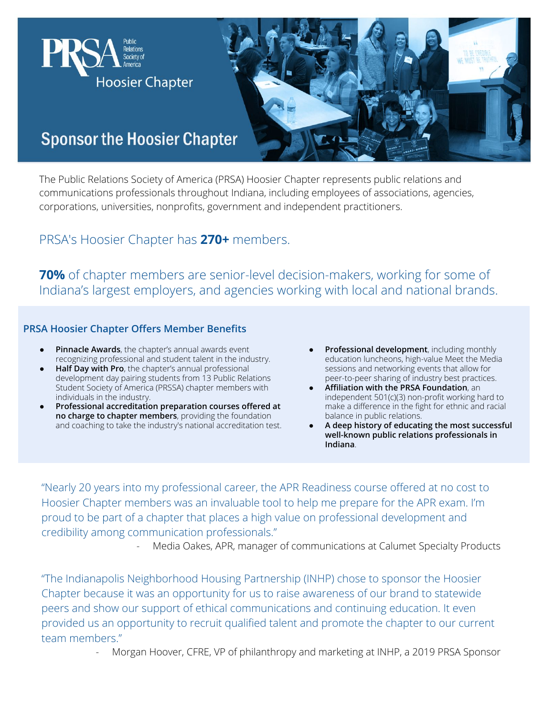

The Public Relations Society of America (PRSA) Hoosier Chapter represents public relations and communications professionals throughout Indiana, including employees of associations, agencies, corporations, universities, nonprofits, government and independent practitioners.

## PRSA's Hoosier Chapter has **270+** members.

**70%** of chapter members are senior-level decision-makers, working for some of Indiana's largest employers, and agencies working with local and national brands.

## **PRSA Hoosier Chapter Offers Member Benefits**

- **Pinnacle Awards**, the chapter's annual awards event recognizing professional and student talent in the industry.
- **Half Day with Pro**, the chapter's annual professional development day pairing students from 13 Public Relations Student Society of America (PRSSA) chapter members with individuals in the industry.
- **Professional accreditation preparation courses offered at no charge to chapter members**, providing the foundation and coaching to take the industry's national accreditation test.
- **Professional development**, including monthly education luncheons, high-value Meet the Media sessions and networking events that allow for peer-to-peer sharing of industry best practices.
- **Affiliation with the PRSA Foundation**, an independent 501(c)(3) non-profit working hard to make a difference in the fight for ethnic and racial balance in public relations.
- A deep history of educating the most successful **well-known public relations professionals in Indiana**.

"Nearly 20 years into my professional career, the APR Readiness course offered at no cost to Hoosier Chapter members was an invaluable tool to help me prepare for the APR exam. I'm proud to be part of a chapter that places a high value on professional development and credibility among communication professionals."

Media Oakes, APR, manager of communications at Calumet Specialty Products

"The Indianapolis Neighborhood Housing Partnership (INHP) chose to sponsor the Hoosier Chapter because it was an opportunity for us to raise awareness of our brand to statewide peers and show our support of ethical communications and continuing education. It even provided us an opportunity to recruit qualified talent and promote the chapter to our current team members."

- Morgan Hoover, CFRE, VP of philanthropy and marketing at INHP, a 2019 PRSA Sponsor